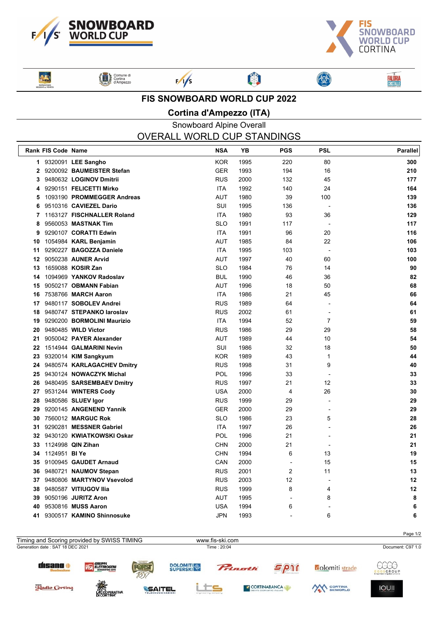



**FALÔRIA**<br>CRISTALLO

**Said PATROCINIO**<br>UGGIONE on VENE Comune di



 $\frac{1}{s}$ 

#### **FIS SNOWBOARD WORLD CUP 2022**

卿

**Cortina d'Ampezzo (ITA)**

## Snowboard Alpine Overall OVERALL WORLD CUP STANDINGS

|              | Rank FIS Code Name   |                               | <b>NSA</b> | YB   | <b>PGS</b>               | <b>PSL</b>     | Parallel |
|--------------|----------------------|-------------------------------|------------|------|--------------------------|----------------|----------|
|              |                      | 1 9320091 LEE Sangho          | <b>KOR</b> | 1995 | 220                      | 80             | 300      |
| $\mathbf{2}$ |                      | 9200092 BAUMEISTER Stefan     | <b>GER</b> | 1993 | 194                      | 16             | 210      |
| 3            |                      | 9480632 LOGINOV Dmitrii       | <b>RUS</b> | 2000 | 132                      | 45             | 177      |
| 4            |                      | 9290151 FELICETTI Mirko       | <b>ITA</b> | 1992 | 140                      | 24             | 164      |
| 5            |                      | 1093190 PROMMEGGER Andreas    | <b>AUT</b> | 1980 | 39                       | 100            | 139      |
| 6            |                      | 9510316 CAVIEZEL Dario        | SUI        | 1995 | 136                      |                | 136      |
|              |                      | 7 1163127 FISCHNALLER Roland  | <b>ITA</b> | 1980 | 93                       | 36             | 129      |
| 8            |                      | 9560053 MASTNAK Tim           | <b>SLO</b> | 1991 | 117                      |                | 117      |
| 9            |                      | 9290107 CORATTI Edwin         | <b>ITA</b> | 1991 | 96                       | 20             | 116      |
| 10           |                      | 1054984 KARL Benjamin         | <b>AUT</b> | 1985 | 84                       | 22             | 106      |
| 11           |                      | 9290227 BAGOZZA Daniele       | <b>ITA</b> | 1995 | 103                      |                | 103      |
| 12           |                      | 9050238 AUNER Arvid           | <b>AUT</b> | 1997 | 40                       | 60             | 100      |
| 13           |                      | 1659088 KOSIR Zan             | <b>SLO</b> | 1984 | 76                       | 14             | 90       |
| 14           |                      | 1094969 YANKOV Radoslav       | <b>BUL</b> | 1990 | 46                       | 36             | 82       |
| 15           |                      | 9050217 OBMANN Fabian         | <b>AUT</b> | 1996 | 18                       | 50             | 68       |
| 16           |                      | 7538766 MARCH Aaron           | <b>ITA</b> | 1986 | 21                       | 45             | 66       |
| 17           |                      | 9480117 SOBOLEV Andrei        | <b>RUS</b> | 1989 | 64                       |                | 64       |
| 18           |                      | 9480747 STEPANKO laroslav     | <b>RUS</b> | 2002 | 61                       | $\overline{a}$ | 61       |
| 19           |                      | 9290200 BORMOLINI Maurizio    | <b>ITA</b> | 1994 | 52                       | 7              | 59       |
| 20           |                      | 9480485 WILD Victor           | <b>RUS</b> | 1986 | 29                       | 29             | 58       |
| 21           |                      | 9050042 PAYER Alexander       | <b>AUT</b> | 1989 | 44                       | 10             | 54       |
| 22           |                      | 1514944 GALMARINI Nevin       | SUI        | 1986 | 32                       | 18             | 50       |
| 23           |                      | 9320014 KIM Sangkyum          | <b>KOR</b> | 1989 | 43                       | $\mathbf{1}$   | 44       |
|              |                      | 24 9480574 KARLAGACHEV Dmitry | <b>RUS</b> | 1998 | 31                       | 9              | 40       |
| 25           |                      | 9430124 NOWACZYK Michal       | <b>POL</b> | 1996 | 33                       |                | 33       |
| 26           |                      | 9480495 SARSEMBAEV Dmitry     | <b>RUS</b> | 1997 | 21                       | 12             | 33       |
|              |                      | 27 9531244 WINTERS Cody       | <b>USA</b> | 2000 | 4                        | 26             | 30       |
| 28           |                      | 9480586 SLUEV Igor            | <b>RUS</b> | 1999 | 29                       |                | 29       |
| 29           |                      | 9200145 ANGENEND Yannik       | <b>GER</b> | 2000 | 29                       |                | 29       |
| 30           |                      | 7560012 MARGUC Rok            | <b>SLO</b> | 1986 | 23                       | 5              | 28       |
| 31           |                      | 9290281 MESSNER Gabriel       | <b>ITA</b> | 1997 | 26                       |                | 26       |
| 32           |                      | 9430120 KWIATKOWSKI Oskar     | <b>POL</b> | 1996 | 21                       |                | 21       |
| 33           |                      | 1124998 QIN Zihan             | <b>CHN</b> | 2000 | 21                       |                | 21       |
| 34           | 1124951 <b>BI Ye</b> |                               | <b>CHN</b> | 1994 | 6                        | 13             | 19       |
| 35           |                      | 9100945 GAUDET Arnaud         | CAN        | 2000 | $\overline{a}$           | 15             | 15       |
| 36           |                      | 9480721 NAUMOV Stepan         | <b>RUS</b> | 2001 | $\overline{2}$           | 11             | 13       |
| 37           |                      | 9480806 MARTYNOV Vsevolod     | <b>RUS</b> | 2003 | 12                       |                | 12       |
| 38           |                      | 9480587 VITIUGOV IIIa         | <b>RUS</b> | 1999 | 8                        | 4              | 12       |
| 39           |                      | 9050196 JURITZ Aron           | <b>AUT</b> | 1995 | $\overline{\phantom{a}}$ | 8              | 8        |
| 40           |                      | 9530816 MUSS Aaron            | <b>USA</b> | 1994 | 6                        |                | 6        |
| 41           |                      | 9300517 KAMINO Shinnosuke     | <b>JPN</b> | 1993 |                          | 6              | 6        |
|              |                      |                               |            |      |                          |                |          |